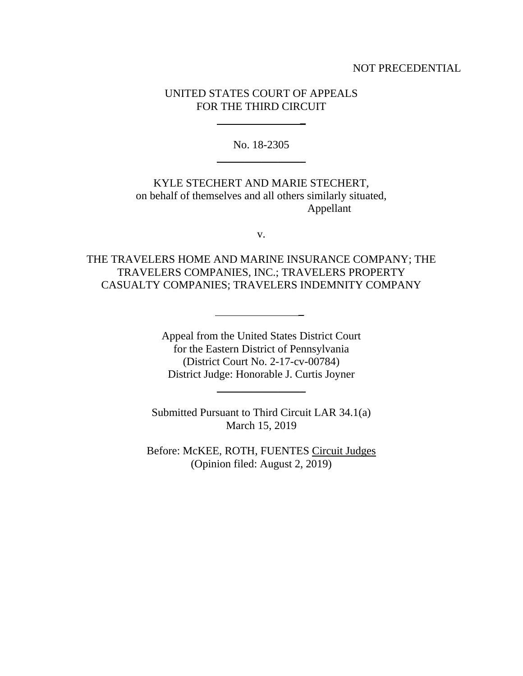### NOT PRECEDENTIAL

## UNITED STATES COURT OF APPEALS FOR THE THIRD CIRCUIT

\_

No. 18-2305 \_\_\_\_\_\_\_\_\_\_\_\_\_\_\_\_

KYLE STECHERT AND MARIE STECHERT, on behalf of themselves and all others similarly situated, Appellant

v.

THE TRAVELERS HOME AND MARINE INSURANCE COMPANY; THE TRAVELERS COMPANIES, INC.; TRAVELERS PROPERTY CASUALTY COMPANIES; TRAVELERS INDEMNITY COMPANY

\_

Appeal from the United States District Court for the Eastern District of Pennsylvania (District Court No. 2-17-cv-00784) District Judge: Honorable J. Curtis Joyner

Submitted Pursuant to Third Circuit LAR 34.1(a) March 15, 2019

\_\_\_\_\_\_\_\_\_\_\_\_\_\_\_\_

Before: McKEE, ROTH, FUENTES Circuit Judges (Opinion filed: August 2, 2019)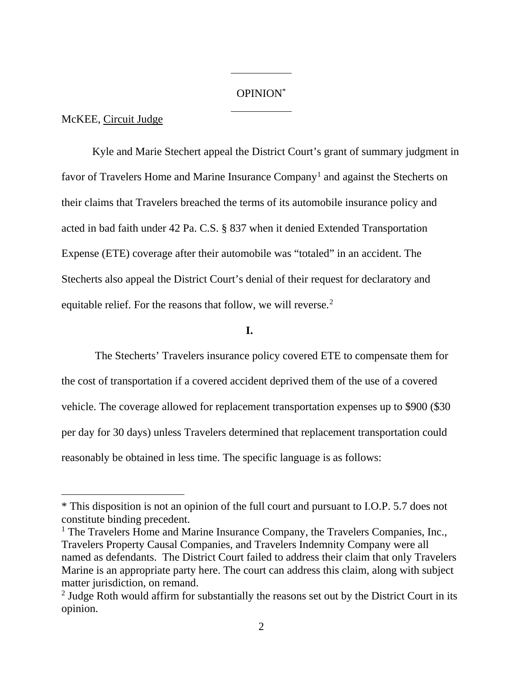#### OPINION\*

### McKEE, Circuit Judge

 $\overline{a}$ 

Kyle and Marie Stechert appeal the District Court's grant of summary judgment in favor of Travelers Home and Marine Insurance Company<sup>1</sup> and against the Stecherts on their claims that Travelers breached the terms of its automobile insurance policy and acted in bad faith under 42 Pa. C.S. § 837 when it denied Extended Transportation Expense (ETE) coverage after their automobile was "totaled" in an accident. The Stecherts also appeal the District Court's denial of their request for declaratory and equitable relief. For the reasons that follow, we will reverse.<sup>2</sup>

# **I.**

The Stecherts' Travelers insurance policy covered ETE to compensate them for the cost of transportation if a covered accident deprived them of the use of a covered vehicle. The coverage allowed for replacement transportation expenses up to \$900 (\$30 per day for 30 days) unless Travelers determined that replacement transportation could reasonably be obtained in less time. The specific language is as follows:

<sup>\*</sup> This disposition is not an opinion of the full court and pursuant to I.O.P. 5.7 does not constitute binding precedent.

<sup>&</sup>lt;sup>1</sup> The Travelers Home and Marine Insurance Company, the Travelers Companies, Inc., Travelers Property Causal Companies, and Travelers Indemnity Company were all named as defendants. The District Court failed to address their claim that only Travelers Marine is an appropriate party here. The court can address this claim, along with subject matter jurisdiction, on remand.<br><sup>2</sup> Judge Roth would affirm for substantially the reasons set out by the District Court in its

opinion.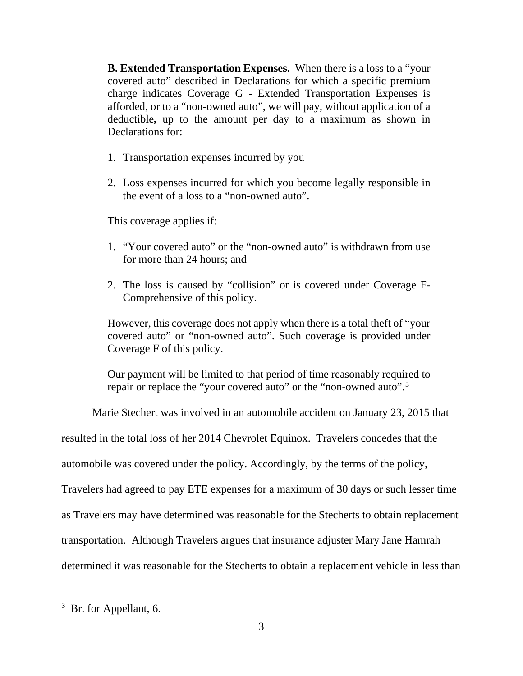**B. Extended Transportation Expenses.** When there is a loss to a "your covered auto" described in Declarations for which a specific premium charge indicates Coverage G - Extended Transportation Expenses is afforded, or to a "non-owned auto", we will pay, without application of a deductible**,** up to the amount per day to a maximum as shown in Declarations for:

- 1. Transportation expenses incurred by you
- 2. Loss expenses incurred for which you become legally responsible in the event of a loss to a "non-owned auto".

This coverage applies if:

- 1. "Your covered auto" or the "non-owned auto" is withdrawn from use for more than 24 hours; and
- 2. The loss is caused by "collision" or is covered under Coverage F-Comprehensive of this policy.

However, this coverage does not apply when there is a total theft of "your covered auto" or "non-owned auto". Such coverage is provided under Coverage F of this policy.

Our payment will be limited to that period of time reasonably required to repair or replace the "your covered auto" or the "non-owned auto".<sup>3</sup>

Marie Stechert was involved in an automobile accident on January 23, 2015 that

resulted in the total loss of her 2014 Chevrolet Equinox. Travelers concedes that the

automobile was covered under the policy. Accordingly, by the terms of the policy,

Travelers had agreed to pay ETE expenses for a maximum of 30 days or such lesser time

as Travelers may have determined was reasonable for the Stecherts to obtain replacement

transportation. Although Travelers argues that insurance adjuster Mary Jane Hamrah

determined it was reasonable for the Stecherts to obtain a replacement vehicle in less than

<sup>&</sup>lt;sup>3</sup> Br. for Appellant, 6.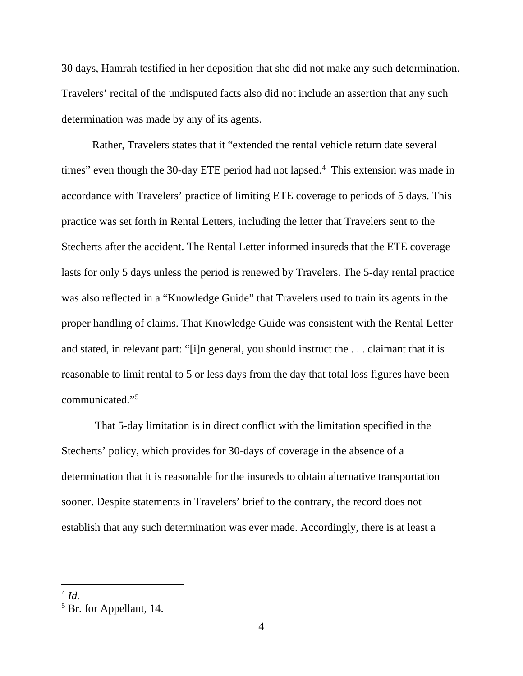30 days, Hamrah testified in her deposition that she did not make any such determination. Travelers' recital of the undisputed facts also did not include an assertion that any such determination was made by any of its agents.

Rather, Travelers states that it "extended the rental vehicle return date several times" even though the 30-day ETE period had not lapsed.<sup>4</sup> This extension was made in accordance with Travelers' practice of limiting ETE coverage to periods of 5 days. This practice was set forth in Rental Letters, including the letter that Travelers sent to the Stecherts after the accident. The Rental Letter informed insureds that the ETE coverage lasts for only 5 days unless the period is renewed by Travelers. The 5-day rental practice was also reflected in a "Knowledge Guide" that Travelers used to train its agents in the proper handling of claims. That Knowledge Guide was consistent with the Rental Letter and stated, in relevant part: "[i]n general, you should instruct the . . . claimant that it is reasonable to limit rental to 5 or less days from the day that total loss figures have been communicated."5

That 5-day limitation is in direct conflict with the limitation specified in the Stecherts' policy, which provides for 30-days of coverage in the absence of a determination that it is reasonable for the insureds to obtain alternative transportation sooner. Despite statements in Travelers' brief to the contrary, the record does not establish that any such determination was ever made. Accordingly, there is at least a

 $4$  *Id*.

<sup>5</sup> Br. for Appellant, 14.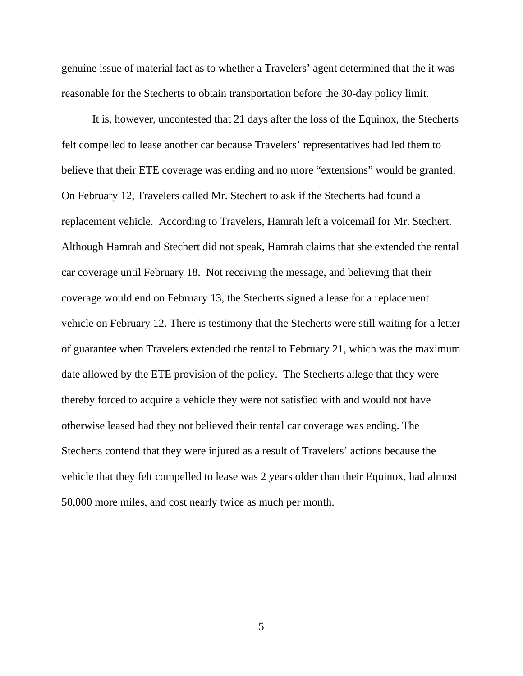genuine issue of material fact as to whether a Travelers' agent determined that the it was reasonable for the Stecherts to obtain transportation before the 30-day policy limit.

It is, however, uncontested that 21 days after the loss of the Equinox, the Stecherts felt compelled to lease another car because Travelers' representatives had led them to believe that their ETE coverage was ending and no more "extensions" would be granted. On February 12, Travelers called Mr. Stechert to ask if the Stecherts had found a replacement vehicle. According to Travelers, Hamrah left a voicemail for Mr. Stechert. Although Hamrah and Stechert did not speak, Hamrah claims that she extended the rental car coverage until February 18. Not receiving the message, and believing that their coverage would end on February 13, the Stecherts signed a lease for a replacement vehicle on February 12. There is testimony that the Stecherts were still waiting for a letter of guarantee when Travelers extended the rental to February 21, which was the maximum date allowed by the ETE provision of the policy. The Stecherts allege that they were thereby forced to acquire a vehicle they were not satisfied with and would not have otherwise leased had they not believed their rental car coverage was ending. The Stecherts contend that they were injured as a result of Travelers' actions because the vehicle that they felt compelled to lease was 2 years older than their Equinox, had almost 50,000 more miles, and cost nearly twice as much per month.

5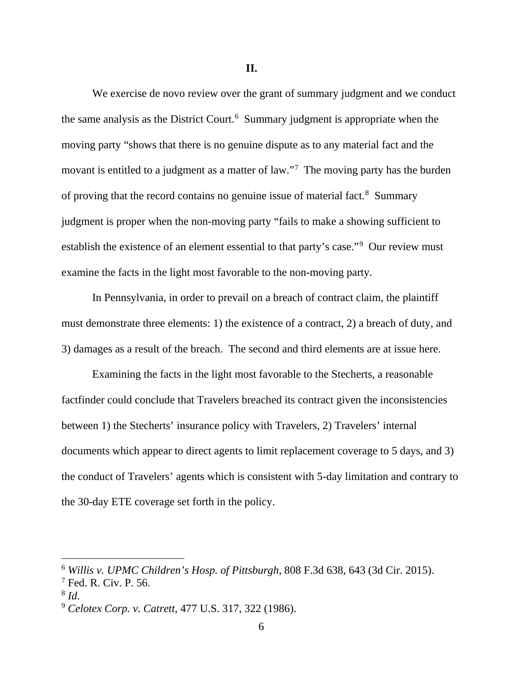**II.**

We exercise de novo review over the grant of summary judgment and we conduct the same analysis as the District Court.<sup>6</sup> Summary judgment is appropriate when the moving party "shows that there is no genuine dispute as to any material fact and the movant is entitled to a judgment as a matter of law."<sup>7</sup> The moving party has the burden of proving that the record contains no genuine issue of material fact.<sup>8</sup> Summary judgment is proper when the non-moving party "fails to make a showing sufficient to establish the existence of an element essential to that party's case."<sup>9</sup> Our review must examine the facts in the light most favorable to the non-moving party.

In Pennsylvania, in order to prevail on a breach of contract claim, the plaintiff must demonstrate three elements: 1) the existence of a contract, 2) a breach of duty, and 3) damages as a result of the breach. The second and third elements are at issue here.

Examining the facts in the light most favorable to the Stecherts, a reasonable factfinder could conclude that Travelers breached its contract given the inconsistencies between 1) the Stecherts' insurance policy with Travelers, 2) Travelers' internal documents which appear to direct agents to limit replacement coverage to 5 days, and 3) the conduct of Travelers' agents which is consistent with 5-day limitation and contrary to the 30-day ETE coverage set forth in the policy.

 <sup>6</sup> *Willis v. UPMC Children's Hosp. of Pittsburgh*, 808 F.3d 638, 643 (3d Cir. 2015).

<sup>7</sup> Fed. R. Civ. P. 56.

<sup>8</sup> *Id*.

<sup>9</sup> *Celotex Corp. v. Catrett*, 477 U.S. 317, 322 (1986).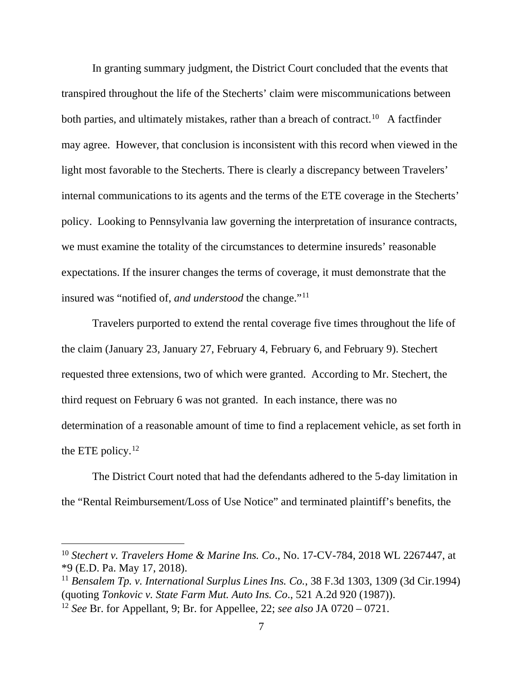In granting summary judgment, the District Court concluded that the events that transpired throughout the life of the Stecherts' claim were miscommunications between both parties, and ultimately mistakes, rather than a breach of contract.<sup>10</sup> A factfinder may agree. However, that conclusion is inconsistent with this record when viewed in the light most favorable to the Stecherts. There is clearly a discrepancy between Travelers' internal communications to its agents and the terms of the ETE coverage in the Stecherts' policy. Looking to Pennsylvania law governing the interpretation of insurance contracts, we must examine the totality of the circumstances to determine insureds' reasonable expectations. If the insurer changes the terms of coverage, it must demonstrate that the insured was "notified of, *and understood* the change."11

Travelers purported to extend the rental coverage five times throughout the life of the claim (January 23, January 27, February 4, February 6, and February 9). Stechert requested three extensions, two of which were granted. According to Mr. Stechert, the third request on February 6 was not granted. In each instance, there was no determination of a reasonable amount of time to find a replacement vehicle, as set forth in the ETE policy. $12$ 

The District Court noted that had the defendants adhered to the 5-day limitation in the "Rental Reimbursement/Loss of Use Notice" and terminated plaintiff's benefits, the

 <sup>10</sup> *Stechert v. Travelers Home & Marine Ins. Co*., No. 17-CV-784, 2018 WL 2267447, at \*9 (E.D. Pa. May 17, 2018).

<sup>11</sup> *Bensalem Tp. v. International Surplus Lines Ins. Co.*, 38 F.3d 1303, 1309 (3d Cir.1994) (quoting *Tonkovic v. State Farm Mut. Auto Ins. Co*., 521 A.2d 920 (1987)).

<sup>12</sup> *See* Br. for Appellant, 9; Br. for Appellee, 22; *see also* JA 0720 – 0721.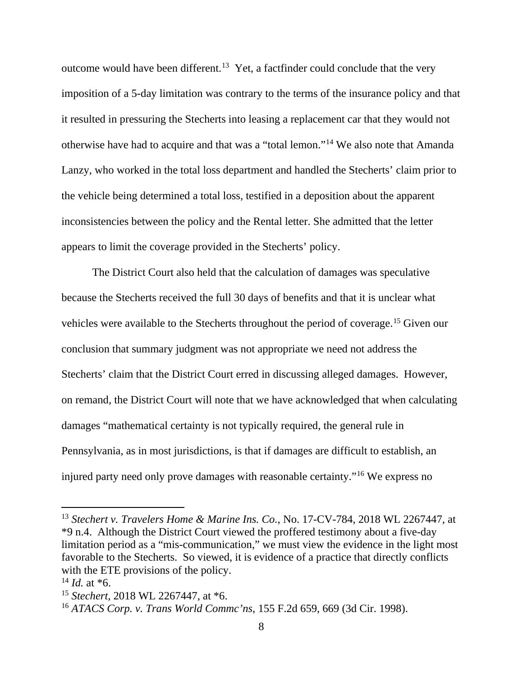outcome would have been different.<sup>13</sup> Yet, a factfinder could conclude that the very imposition of a 5-day limitation was contrary to the terms of the insurance policy and that it resulted in pressuring the Stecherts into leasing a replacement car that they would not otherwise have had to acquire and that was a "total lemon."14 We also note that Amanda Lanzy, who worked in the total loss department and handled the Stecherts' claim prior to the vehicle being determined a total loss, testified in a deposition about the apparent inconsistencies between the policy and the Rental letter. She admitted that the letter appears to limit the coverage provided in the Stecherts' policy.

The District Court also held that the calculation of damages was speculative because the Stecherts received the full 30 days of benefits and that it is unclear what vehicles were available to the Stecherts throughout the period of coverage.15 Given our conclusion that summary judgment was not appropriate we need not address the Stecherts' claim that the District Court erred in discussing alleged damages. However, on remand, the District Court will note that we have acknowledged that when calculating damages "mathematical certainty is not typically required, the general rule in Pennsylvania, as in most jurisdictions, is that if damages are difficult to establish, an injured party need only prove damages with reasonable certainty."16 We express no

 <sup>13</sup> *Stechert v. Travelers Home & Marine Ins. Co.*, No. 17-CV-784, 2018 WL 2267447, at \*9 n.4. Although the District Court viewed the proffered testimony about a five-day limitation period as a "mis-communication," we must view the evidence in the light most favorable to the Stecherts. So viewed, it is evidence of a practice that directly conflicts with the ETE provisions of the policy.

 $14$  *Id.* at  $*6$ .

<sup>15</sup> *Stechert*, 2018 WL 2267447, at \*6.

<sup>16</sup> *ATACS Corp. v. Trans World Commc'ns*, 155 F.2d 659, 669 (3d Cir. 1998).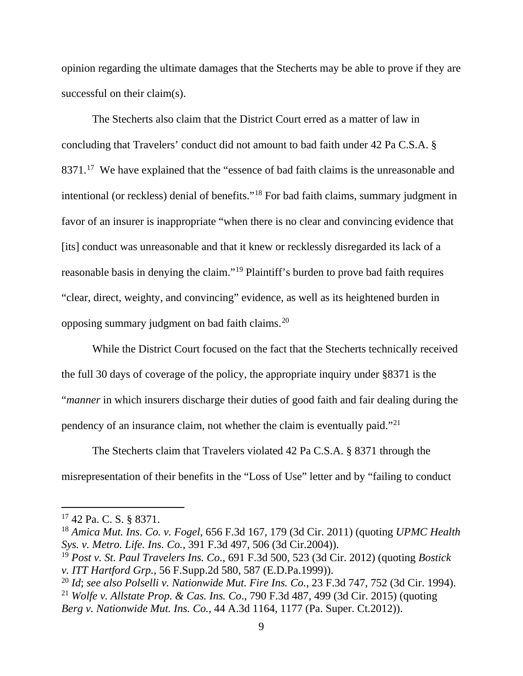opinion regarding the ultimate damages that the Stecherts may be able to prove if they are successful on their claim(s).

The Stecherts also claim that the District Court erred as a matter of law in concluding that Travelers' conduct did not amount to bad faith under 42 Pa C.S.A. § 8371.<sup>17</sup> We have explained that the "essence of bad faith claims is the unreasonable and intentional (or reckless) denial of benefits."18 For bad faith claims, summary judgment in favor of an insurer is inappropriate "when there is no clear and convincing evidence that [its] conduct was unreasonable and that it knew or recklessly disregarded its lack of a reasonable basis in denying the claim."19 Plaintiff's burden to prove bad faith requires "clear, direct, weighty, and convincing" evidence, as well as its heightened burden in opposing summary judgment on bad faith claims.20

While the District Court focused on the fact that the Stecherts technically received the full 30 days of coverage of the policy, the appropriate inquiry under §8371 is the "*manner* in which insurers discharge their duties of good faith and fair dealing during the pendency of an insurance claim, not whether the claim is eventually paid."21

The Stecherts claim that Travelers violated 42 Pa C.S.A. § 8371 through the misrepresentation of their benefits in the "Loss of Use" letter and by "failing to conduct

 <sup>17</sup> 42 Pa. C. S. § 8371.

<sup>18</sup> *Amica Mut. Ins. Co. v. Fogel,* 656 F.3d 167, 179 (3d Cir. 2011) (quoting *UPMC Health Sys. v. Metro. Life. Ins. Co.*, 391 F.3d 497, 506 (3d Cir.2004)).

<sup>19</sup> *Post v. St. Paul Travelers Ins. Co.*, 691 F.3d 500, 523 (3d Cir. 2012) (quoting *Bostick v. ITT Hartford Grp.,* 56 F.Supp.2d 580, 587 (E.D.Pa.1999)).

<sup>20</sup> *Id*; *see also Polselli v. Nationwide Mut. Fire Ins. Co.*, 23 F.3d 747, 752 (3d Cir. 1994).

<sup>21</sup> *Wolfe v. Allstate Prop. & Cas. Ins. Co*., 790 F.3d 487, 499 (3d Cir. 2015) (quoting *Berg v. Nationwide Mut. Ins. Co.,* 44 A.3d 1164, 1177 (Pa. Super. Ct.2012)).